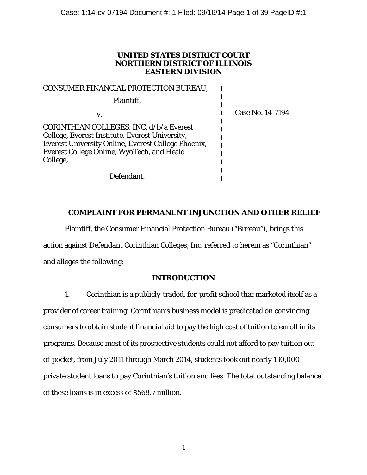## **UNITED STATES DISTRICT COURT NORTHERN DISTRICT OF ILLINOIS EASTERN DIVISION**

| <b>CONSUMER FINANCIAL PROTECTION BUREAU,</b>                                                                                                                                                                       |                  |
|--------------------------------------------------------------------------------------------------------------------------------------------------------------------------------------------------------------------|------------------|
| Plaintiff,                                                                                                                                                                                                         |                  |
| v.                                                                                                                                                                                                                 | Case No. 14-7194 |
| CORINTHIAN COLLEGES, INC. d/b/a Everest<br>College, Everest Institute, Everest University,<br><b>Everest University Online, Everest College Phoenix,</b><br>Everest College Online, WyoTech, and Heald<br>College, |                  |
| Defendant.                                                                                                                                                                                                         |                  |

# **COMPLAINT FOR PERMANENT INJUNCTION AND OTHER RELIEF**

Plaintiff, the Consumer Financial Protection Bureau ("Bureau"), brings this action against Defendant Corinthian Colleges, Inc. referred to herein as "Corinthian" and alleges the following:

# **INTRODUCTION**

1. Corinthian is a publicly-traded, for-profit school that marketed itself as a provider of career training. Corinthian's business model is predicated on convincing consumers to obtain student financial aid to pay the high cost of tuition to enroll in its programs. Because most of its prospective students could not afford to pay tuition outof-pocket, from July 2011 through March 2014, students took out nearly 130,000 private student loans to pay Corinthian's tuition and fees. The total outstanding balance of these loans is in excess of \$568.7 million.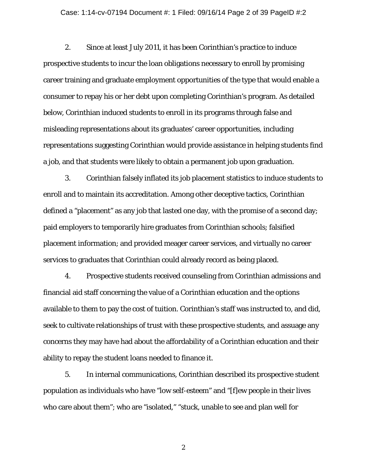#### Case: 1:14-cv-07194 Document #: 1 Filed: 09/16/14 Page 2 of 39 PageID #:2

2. Since at least July 2011, it has been Corinthian's practice to induce prospective students to incur the loan obligations necessary to enroll by promising career training and graduate employment opportunities of the type that would enable a consumer to repay his or her debt upon completing Corinthian's program. As detailed below, Corinthian induced students to enroll in its programs through false and misleading representations about its graduates' career opportunities, including representations suggesting Corinthian would provide assistance in helping students find a job, and that students were likely to obtain a permanent job upon graduation.

3. Corinthian falsely inflated its job placement statistics to induce students to enroll and to maintain its accreditation. Among other deceptive tactics, Corinthian defined a "placement" as any job that lasted one day, with the promise of a second day; paid employers to temporarily hire graduates from Corinthian schools; falsified placement information; and provided meager career services, and virtually no career services to graduates that Corinthian could already record as being placed.

4. Prospective students received counseling from Corinthian admissions and financial aid staff concerning the value of a Corinthian education and the options available to them to pay the cost of tuition. Corinthian's staff was instructed to, and did, seek to cultivate relationships of trust with these prospective students, and assuage any concerns they may have had about the affordability of a Corinthian education and their ability to repay the student loans needed to finance it.

5. In internal communications, Corinthian described its prospective student population as individuals who have "low self-esteem" and "[f]ew people in their lives who care about them"; who are "isolated," "stuck, unable to see and plan well for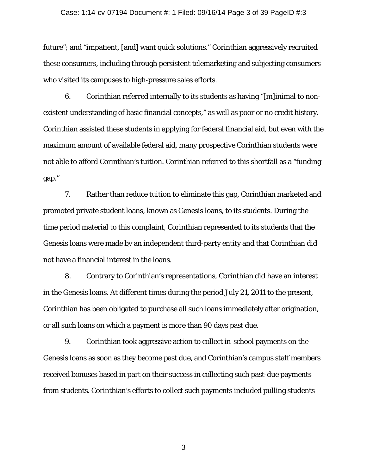#### Case: 1:14-cv-07194 Document #: 1 Filed: 09/16/14 Page 3 of 39 PageID #:3

future"; and "impatient, [and] want quick solutions." Corinthian aggressively recruited these consumers, including through persistent telemarketing and subjecting consumers who visited its campuses to high-pressure sales efforts.

6. Corinthian referred internally to its students as having "[m]inimal to nonexistent understanding of basic financial concepts," as well as poor or no credit history. Corinthian assisted these students in applying for federal financial aid, but even with the maximum amount of available federal aid, many prospective Corinthian students were not able to afford Corinthian's tuition. Corinthian referred to this shortfall as a "funding gap."

7. Rather than reduce tuition to eliminate this gap, Corinthian marketed and promoted private student loans, known as Genesis loans, to its students. During the time period material to this complaint, Corinthian represented to its students that the Genesis loans were made by an independent third-party entity and that Corinthian did not have a financial interest in the loans.

8. Contrary to Corinthian's representations, Corinthian did have an interest in the Genesis loans. At different times during the period July 21, 2011 to the present, Corinthian has been obligated to purchase all such loans immediately after origination, or all such loans on which a payment is more than 90 days past due.

9. Corinthian took aggressive action to collect in-school payments on the Genesis loans as soon as they become past due, and Corinthian's campus staff members received bonuses based in part on their success in collecting such past-due payments from students. Corinthian's efforts to collect such payments included pulling students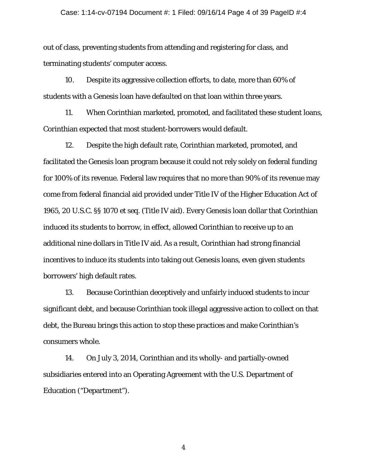#### Case: 1:14-cv-07194 Document #: 1 Filed: 09/16/14 Page 4 of 39 PageID #:4

out of class, preventing students from attending and registering for class, and terminating students' computer access.

10. Despite its aggressive collection efforts, to date, more than 60% of students with a Genesis loan have defaulted on that loan within three years.

11. When Corinthian marketed, promoted, and facilitated these student loans, Corinthian expected that most student-borrowers would default.

12. Despite the high default rate, Corinthian marketed, promoted, and facilitated the Genesis loan program because it could not rely solely on federal funding for 100% of its revenue. Federal law requires that no more than 90% of its revenue may come from federal financial aid provided under Title IV of the Higher Education Act of 1965, 20 U.S.C. §§ 1070 *et seq*. (Title IV aid). Every Genesis loan dollar that Corinthian induced its students to borrow, in effect, allowed Corinthian to receive up to an additional nine dollars in Title IV aid. As a result, Corinthian had strong financial incentives to induce its students into taking out Genesis loans, even given students borrowers' high default rates.

13. Because Corinthian deceptively and unfairly induced students to incur significant debt, and because Corinthian took illegal aggressive action to collect on that debt, the Bureau brings this action to stop these practices and make Corinthian's consumers whole.

14. On July 3, 2014, Corinthian and its wholly- and partially-owned subsidiaries entered into an Operating Agreement with the U.S. Department of Education ("Department").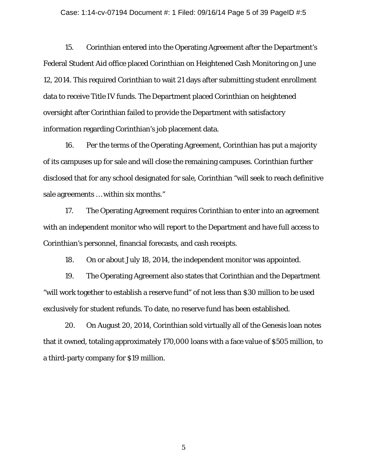#### Case: 1:14-cv-07194 Document #: 1 Filed: 09/16/14 Page 5 of 39 PageID #:5

15. Corinthian entered into the Operating Agreement after the Department's Federal Student Aid office placed Corinthian on Heightened Cash Monitoring on June 12, 2014. This required Corinthian to wait 21 days after submitting student enrollment data to receive Title IV funds. The Department placed Corinthian on heightened oversight after Corinthian failed to provide the Department with satisfactory information regarding Corinthian's job placement data.

16. Per the terms of the Operating Agreement, Corinthian has put a majority of its campuses up for sale and will close the remaining campuses. Corinthian further disclosed that for any school designated for sale, Corinthian "will seek to reach definitive sale agreements … within six months."

17. The Operating Agreement requires Corinthian to enter into an agreement with an independent monitor who will report to the Department and have full access to Corinthian's personnel, financial forecasts, and cash receipts.

18. On or about July 18, 2014, the independent monitor was appointed.

19. The Operating Agreement also states that Corinthian and the Department "will work together to establish a reserve fund" of not less than \$30 million to be used exclusively for student refunds. To date, no reserve fund has been established.

20. On August 20, 2014, Corinthian sold virtually all of the Genesis loan notes that it owned, totaling approximately 170,000 loans with a face value of \$505 million, to a third-party company for \$19 million.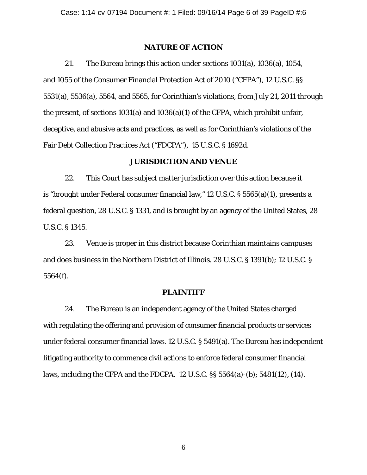### **NATURE OF ACTION**

21. The Bureau brings this action under sections 1031(a), 1036(a), 1054, and 1055 of the Consumer Financial Protection Act of 2010 ("CFPA"), 12 U.S.C. §§ 5531(a), 5536(a), 5564, and 5565, for Corinthian's violations, from July 21, 2011 through the present, of sections 1031(a) and 1036(a)(1) of the CFPA, which prohibit unfair, deceptive, and abusive acts and practices, as well as for Corinthian's violations of the Fair Debt Collection Practices Act ("FDCPA"), 15 U.S.C. § 1692d.

### **JURISDICTION AND VENUE**

22. This Court has subject matter jurisdiction over this action because it is "brought under Federal consumer financial law," 12 U.S.C. § 5565(a)(1), presents a federal question, 28 U.S.C. § 1331, and is brought by an agency of the United States, 28 U.S.C. § 1345.

23. Venue is proper in this district because Corinthian maintains campuses and does business in the Northern District of Illinois. 28 U.S.C. § 1391(b); 12 U.S.C. § 5564(f).

#### **PLAINTIFF**

24. The Bureau is an independent agency of the United States charged with regulating the offering and provision of consumer financial products or services under federal consumer financial laws. 12 U.S.C. § 5491(a). The Bureau has independent litigating authority to commence civil actions to enforce federal consumer financial laws, including the CFPA and the FDCPA. 12 U.S.C. §§ 5564(a)-(b); 5481(12), (14).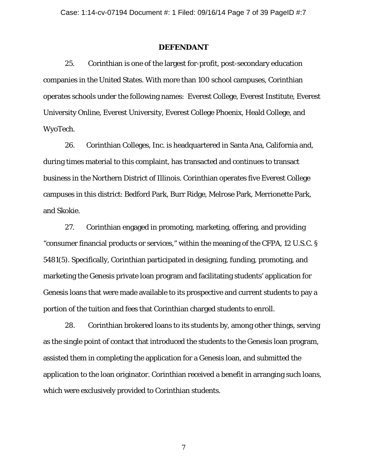#### **DEFENDANT**

25. Corinthian is one of the largest for-profit, post-secondary education companies in the United States. With more than 100 school campuses, Corinthian operates schools under the following names: Everest College, Everest Institute, Everest University Online, Everest University, Everest College Phoenix, Heald College, and WyoTech.

26. Corinthian Colleges, Inc. is headquartered in Santa Ana, California and, during times material to this complaint, has transacted and continues to transact business in the Northern District of Illinois. Corinthian operates five Everest College campuses in this district: Bedford Park, Burr Ridge, Melrose Park, Merrionette Park, and Skokie.

27. Corinthian engaged in promoting, marketing, offering, and providing "consumer financial products or services," within the meaning of the CFPA, 12 U.S.C. § 5481(5). Specifically, Corinthian participated in designing, funding, promoting, and marketing the Genesis private loan program and facilitating students' application for Genesis loans that were made available to its prospective and current students to pay a portion of the tuition and fees that Corinthian charged students to enroll.

28. Corinthian brokered loans to its students by, among other things, serving as the single point of contact that introduced the students to the Genesis loan program, assisted them in completing the application for a Genesis loan, and submitted the application to the loan originator. Corinthian received a benefit in arranging such loans, which were exclusively provided to Corinthian students.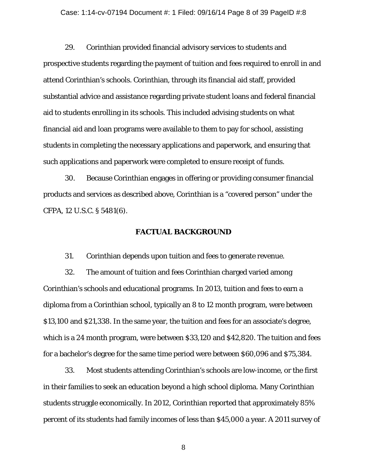#### Case: 1:14-cv-07194 Document #: 1 Filed: 09/16/14 Page 8 of 39 PageID #:8

29. Corinthian provided financial advisory services to students and prospective students regarding the payment of tuition and fees required to enroll in and attend Corinthian's schools. Corinthian, through its financial aid staff, provided substantial advice and assistance regarding private student loans and federal financial aid to students enrolling in its schools. This included advising students on what financial aid and loan programs were available to them to pay for school, assisting students in completing the necessary applications and paperwork, and ensuring that such applications and paperwork were completed to ensure receipt of funds.

30. Because Corinthian engages in offering or providing consumer financial products and services as described above, Corinthian is a "covered person" under the CFPA, 12 U.S.C. § 5481(6).

### **FACTUAL BACKGROUND**

31. Corinthian depends upon tuition and fees to generate revenue.

32. The amount of tuition and fees Corinthian charged varied among Corinthian's schools and educational programs. In 2013, tuition and fees to earn a diploma from a Corinthian school, typically an 8 to 12 month program, were between \$13,100 and \$21,338. In the same year, the tuition and fees for an associate's degree, which is a 24 month program, were between \$33,120 and \$42,820. The tuition and fees for a bachelor's degree for the same time period were between \$60,096 and \$75,384.

33. Most students attending Corinthian's schools are low-income, or the first in their families to seek an education beyond a high school diploma. Many Corinthian students struggle economically. In 2012, Corinthian reported that approximately 85% percent of its students had family incomes of less than \$45,000 a year. A 2011 survey of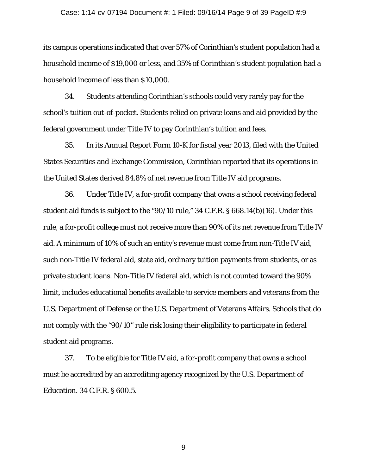#### Case: 1:14-cv-07194 Document #: 1 Filed: 09/16/14 Page 9 of 39 PageID #:9

its campus operations indicated that over 57% of Corinthian's student population had a household income of \$19,000 or less, and 35% of Corinthian's student population had a household income of less than \$10,000.

34. Students attending Corinthian's schools could very rarely pay for the school's tuition out-of-pocket. Students relied on private loans and aid provided by the federal government under Title IV to pay Corinthian's tuition and fees.

35. In its Annual Report Form 10-K for fiscal year 2013, filed with the United States Securities and Exchange Commission, Corinthian reported that its operations in the United States derived 84.8% of net revenue from Title IV aid programs.

36. Under Title IV, a for-profit company that owns a school receiving federal student aid funds is subject to the "90/10 rule," 34 C.F.R. § 668.14(b)(16). Under this rule, a for-profit college must not receive more than 90% of its net revenue from Title IV aid. A minimum of 10% of such an entity's revenue must come from non-Title IV aid, such non-Title IV federal aid, state aid, ordinary tuition payments from students, or as private student loans. Non-Title IV federal aid, which is not counted toward the 90% limit, includes educational benefits available to service members and veterans from the U.S. Department of Defense or the U.S. Department of Veterans Affairs. Schools that do not comply with the "90/10" rule risk losing their eligibility to participate in federal student aid programs.

37. To be eligible for Title IV aid, a for-profit company that owns a school must be accredited by an accrediting agency recognized by the U.S. Department of Education. 34 C.F.R. § 600.5.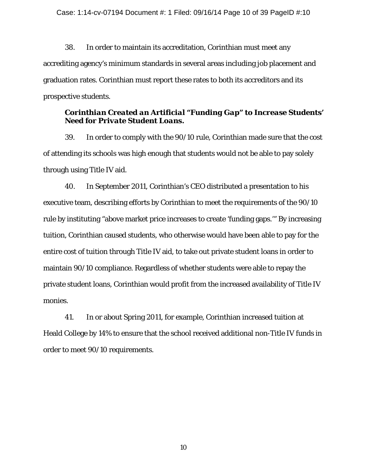38. In order to maintain its accreditation, Corinthian must meet any accrediting agency's minimum standards in several areas including job placement and graduation rates. Corinthian must report these rates to both its accreditors and its prospective students.

# *Corinthian Created an Artificial "Funding Gap" to Increase Students' Need for Private Student Loans.*

39. In order to comply with the 90/10 rule, Corinthian made sure that the cost of attending its schools was high enough that students would not be able to pay solely through using Title IV aid.

40. In September 2011, Corinthian's CEO distributed a presentation to his executive team, describing efforts by Corinthian to meet the requirements of the 90/10 rule by instituting "above market price increases to create 'funding gaps.'" By increasing tuition, Corinthian caused students, who otherwise would have been able to pay for the entire cost of tuition through Title IV aid, to take out private student loans in order to maintain 90/10 compliance. Regardless of whether students were able to repay the private student loans, Corinthian would profit from the increased availability of Title IV monies.

41. In or about Spring 2011, for example, Corinthian increased tuition at Heald College by 14% to ensure that the school received additional non-Title IV funds in order to meet 90/10 requirements.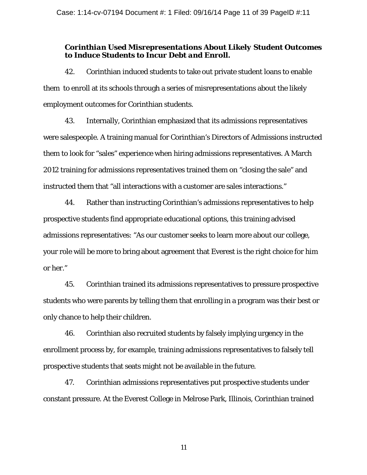## *Corinthian Used Misrepresentations About Likely Student Outcomes to Induce Students to Incur Debt and Enroll.*

42. Corinthian induced students to take out private student loans to enable them to enroll at its schools through a series of misrepresentations about the likely employment outcomes for Corinthian students.

43. Internally, Corinthian emphasized that its admissions representatives were salespeople. A training manual for Corinthian's Directors of Admissions instructed them to look for "sales" experience when hiring admissions representatives. A March 2012 training for admissions representatives trained them on "closing the sale" and instructed them that "all interactions with a customer are sales interactions."

44. Rather than instructing Corinthian's admissions representatives to help prospective students find appropriate educational options, this training advised admissions representatives: "As our customer seeks to learn more about our college, your role will be more to bring about agreement that Everest is the right choice for him or her."

45. Corinthian trained its admissions representatives to pressure prospective students who were parents by telling them that enrolling in a program was their best or only chance to help their children.

46. Corinthian also recruited students by falsely implying urgency in the enrollment process by, for example, training admissions representatives to falsely tell prospective students that seats might not be available in the future.

47. Corinthian admissions representatives put prospective students under constant pressure. At the Everest College in Melrose Park, Illinois, Corinthian trained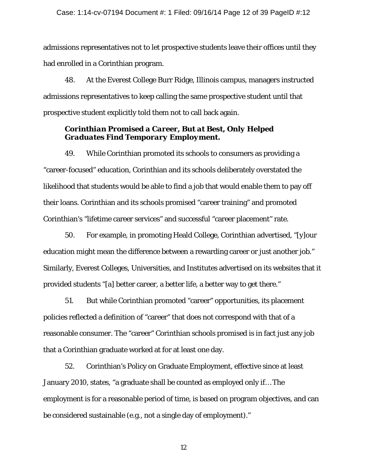admissions representatives not to let prospective students leave their offices until they had enrolled in a Corinthian program.

48. At the Everest College Burr Ridge, Illinois campus, managers instructed admissions representatives to keep calling the same prospective student until that prospective student explicitly told them not to call back again.

# *Corinthian Promised a Career, But at Best, Only Helped Graduates Find Temporary Employment.*

49. While Corinthian promoted its schools to consumers as providing a "career-focused" education, Corinthian and its schools deliberately overstated the likelihood that students would be able to find a job that would enable them to pay off their loans. Corinthian and its schools promised "career training" and promoted Corinthian's "lifetime career services" and successful "career placement" rate.

50. For example, in promoting Heald College, Corinthian advertised, "[y]our education might mean the difference between a rewarding career or just another job." Similarly, Everest Colleges, Universities, and Institutes advertised on its websites that it provided students "[a] better career, a better life, a better way to get there."

51. But while Corinthian promoted "career" opportunities, its placement policies reflected a definition of "career" that does not correspond with that of a reasonable consumer. The "career" Corinthian schools promised is in fact just any job that a Corinthian graduate worked at for at least one day.

52. Corinthian's Policy on Graduate Employment, effective since at least January 2010, states, "a graduate shall be counted as employed only if… The employment is for a reasonable period of time, is based on program objectives, and can be considered sustainable (e.g., not a single day of employment)."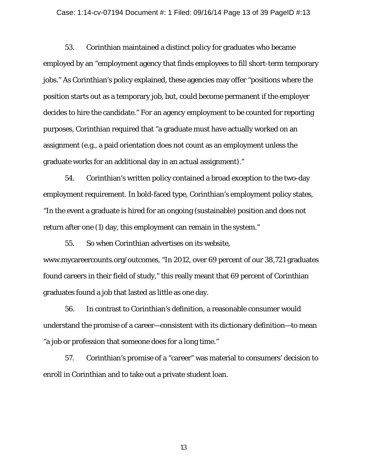#### Case: 1:14-cv-07194 Document #: 1 Filed: 09/16/14 Page 13 of 39 PageID #:13

53. Corinthian maintained a distinct policy for graduates who became employed by an "employment agency that finds employees to fill short-term temporary jobs." As Corinthian's policy explained, these agencies may offer "positions where the position starts out as a temporary job, but, could become permanent if the employer decides to hire the candidate." For an agency employment to be counted for reporting purposes, Corinthian required that "a graduate must have actually worked on an assignment (e.g., a paid orientation does not count as an employment unless the graduate works for an additional day in an actual assignment)."

54. Corinthian's written policy contained a broad exception to the two-day employment requirement. In bold-faced type, Corinthian's employment policy states, "In the event a graduate is hired for an ongoing (sustainable) position and does not return after one (1) day, this employment can remain in the system."

55. So when Corinthian advertises on its website, www.mycareercounts.org/outcomes, "In 2012, over 69 percent of our 38,721 graduates found careers in their field of study," this really meant that 69 percent of Corinthian graduates found a job that lasted as little as one day.

56. In contrast to Corinthian's definition, a reasonable consumer would understand the promise of a career—consistent with its dictionary definition—to mean "a job or profession that someone does for a long time."

57. Corinthian's promise of a "career" was material to consumers' decision to enroll in Corinthian and to take out a private student loan.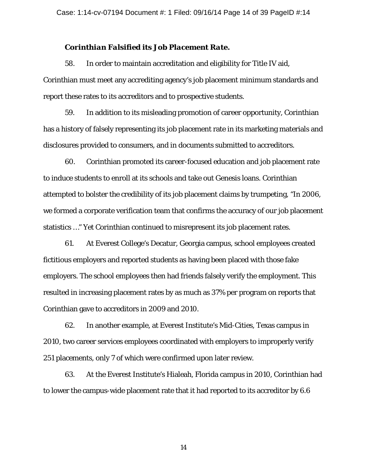### *Corinthian Falsified its Job Placement Rate.*

58. In order to maintain accreditation and eligibility for Title IV aid, Corinthian must meet any accrediting agency's job placement minimum standards and report these rates to its accreditors and to prospective students.

59. In addition to its misleading promotion of career opportunity, Corinthian has a history of falsely representing its job placement rate in its marketing materials and disclosures provided to consumers, and in documents submitted to accreditors.

60. Corinthian promoted its career-focused education and job placement rate to induce students to enroll at its schools and take out Genesis loans. Corinthian attempted to bolster the credibility of its job placement claims by trumpeting, "In 2006, we formed a corporate verification team that confirms the accuracy of our job placement statistics …" Yet Corinthian continued to misrepresent its job placement rates.

61. At Everest College's Decatur, Georgia campus, school employees created fictitious employers and reported students as having been placed with those fake employers. The school employees then had friends falsely verify the employment. This resulted in increasing placement rates by as much as 37% per program on reports that Corinthian gave to accreditors in 2009 and 2010.

62. In another example, at Everest Institute's Mid-Cities, Texas campus in 2010, two career services employees coordinated with employers to improperly verify 251 placements, only 7 of which were confirmed upon later review.

63. At the Everest Institute's Hialeah, Florida campus in 2010, Corinthian had to lower the campus-wide placement rate that it had reported to its accreditor by 6.6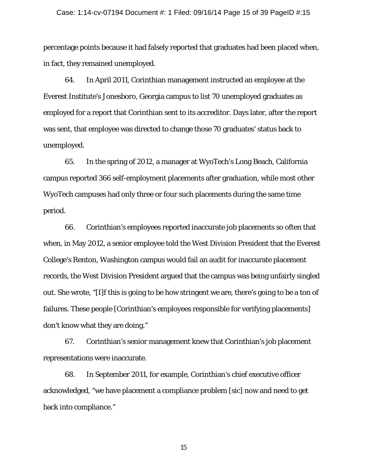#### Case: 1:14-cv-07194 Document #: 1 Filed: 09/16/14 Page 15 of 39 PageID #:15

percentage points because it had falsely reported that graduates had been placed when, in fact, they remained unemployed.

64. In April 2011, Corinthian management instructed an employee at the Everest Institute's Jonesboro, Georgia campus to list 70 unemployed graduates as employed for a report that Corinthian sent to its accreditor. Days later, after the report was sent, that employee was directed to change those 70 graduates' status back to unemployed.

65. In the spring of 2012, a manager at WyoTech's Long Beach, California campus reported 366 self-employment placements after graduation, while most other WyoTech campuses had only three or four such placements during the same time period.

66. Corinthian's employees reported inaccurate job placements so often that when, in May 2012, a senior employee told the West Division President that the Everest College's Renton, Washington campus would fail an audit for inaccurate placement records, the West Division President argued that the campus was being unfairly singled out. She wrote, "[I]f this is going to be how stringent we are, there's going to be a ton of failures. These people [Corinthian's employees responsible for verifying placements] don't know what they are doing."

67. Corinthian's senior management knew that Corinthian's job placement representations were inaccurate.

68. In September 2011, for example, Corinthian's chief executive officer acknowledged, "we have placement a compliance problem [sic] now and need to get back into compliance."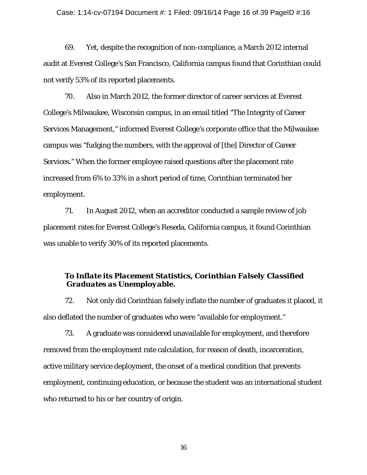#### Case: 1:14-cv-07194 Document #: 1 Filed: 09/16/14 Page 16 of 39 PageID #:16

69. Yet, despite the recognition of non-compliance, a March 2012 internal audit at Everest College's San Francisco, California campus found that Corinthian could not verify 53% of its reported placements.

70. Also in March 2012, the former director of career services at Everest College's Milwaukee, Wisconsin campus, in an email titled "The Integrity of Career Services Management," informed Everest College's corporate office that the Milwaukee campus was "fudging the numbers, with the approval of [the] Director of Career Services." When the former employee raised questions after the placement rate increased from 6% to 33% in a short period of time, Corinthian terminated her employment.

71. In August 2012, when an accreditor conducted a sample review of job placement rates for Everest College's Reseda, California campus, it found Corinthian was unable to verify 30% of its reported placements.

## *To Inflate its Placement Statistics, Corinthian Falsely Classified Graduates as Unemployable.*

72. Not only did Corinthian falsely inflate the number of graduates it placed, it also deflated the number of graduates who were "available for employment."

73. A graduate was considered unavailable for employment, and therefore removed from the employment rate calculation, for reason of death, incarceration, active military service deployment, the onset of a medical condition that prevents employment, continuing education, or because the student was an international student who returned to his or her country of origin.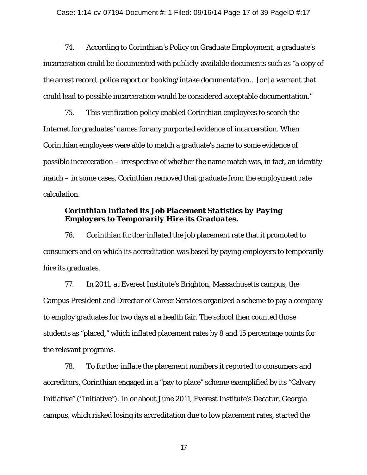74. According to Corinthian's Policy on Graduate Employment, a graduate's incarceration could be documented with publicly-available documents such as "a copy of the arrest record, police report or booking/intake documentation… [or] a warrant that could lead to possible incarceration would be considered acceptable documentation."

75. This verification policy enabled Corinthian employees to search the Internet for graduates' names for any purported evidence of incarceration. When Corinthian employees were able to match a graduate's name to some evidence of possible incarceration – irrespective of whether the name match was, in fact, an identity match – in some cases, Corinthian removed that graduate from the employment rate calculation.

### *Corinthian Inflated its Job Placement Statistics by Paying Employers to Temporarily Hire its Graduates.*

76. Corinthian further inflated the job placement rate that it promoted to consumers and on which its accreditation was based by paying employers to temporarily hire its graduates.

77. In 2011, at Everest Institute's Brighton, Massachusetts campus, the Campus President and Director of Career Services organized a scheme to pay a company to employ graduates for two days at a health fair. The school then counted those students as "placed," which inflated placement rates by 8 and 15 percentage points for the relevant programs.

78. To further inflate the placement numbers it reported to consumers and accreditors, Corinthian engaged in a "pay to place" scheme exemplified by its "Calvary Initiative" ("Initiative"). In or about June 2011, Everest Institute's Decatur, Georgia campus, which risked losing its accreditation due to low placement rates, started the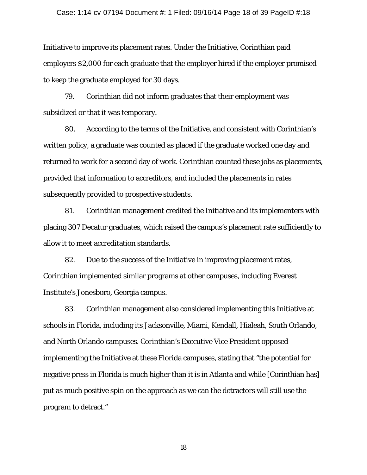Initiative to improve its placement rates. Under the Initiative, Corinthian paid employers \$2,000 for each graduate that the employer hired if the employer promised to keep the graduate employed for 30 days.

79. Corinthian did not inform graduates that their employment was subsidized or that it was temporary.

80. According to the terms of the Initiative, and consistent with Corinthian's written policy, a graduate was counted as placed if the graduate worked one day and returned to work for a second day of work. Corinthian counted these jobs as placements, provided that information to accreditors, and included the placements in rates subsequently provided to prospective students.

81. Corinthian management credited the Initiative and its implementers with placing 307 Decatur graduates, which raised the campus's placement rate sufficiently to allow it to meet accreditation standards.

82. Due to the success of the Initiative in improving placement rates, Corinthian implemented similar programs at other campuses, including Everest Institute's Jonesboro, Georgia campus.

83. Corinthian management also considered implementing this Initiative at schools in Florida, including its Jacksonville, Miami, Kendall, Hialeah, South Orlando, and North Orlando campuses. Corinthian's Executive Vice President opposed implementing the Initiative at these Florida campuses, stating that "the potential for negative press in Florida is much higher than it is in Atlanta and while [Corinthian has] put as much positive spin on the approach as we can the detractors will still use the program to detract."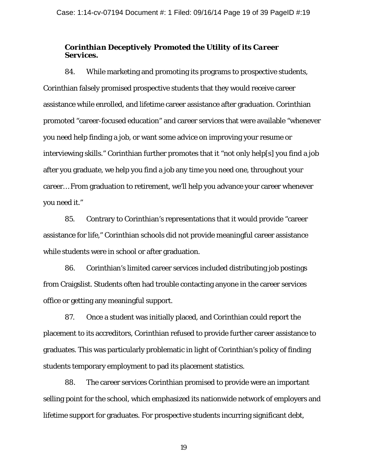# *Corinthian Deceptively Promoted the Utility of its Career Services.*

84. While marketing and promoting its programs to prospective students, Corinthian falsely promised prospective students that they would receive career assistance while enrolled, and lifetime career assistance after graduation. Corinthian promoted "career-focused education" and career services that were available "whenever you need help finding a job, or want some advice on improving your resume or interviewing skills." Corinthian further promotes that it "not only help[s] you find a job after you graduate, we help you find a job any time you need one, throughout your career… From graduation to retirement, we'll help you advance your career whenever you need it."

85. Contrary to Corinthian's representations that it would provide "career assistance for life," Corinthian schools did not provide meaningful career assistance while students were in school or after graduation.

86. Corinthian's limited career services included distributing job postings from Craigslist. Students often had trouble contacting anyone in the career services office or getting any meaningful support.

87. Once a student was initially placed, and Corinthian could report the placement to its accreditors, Corinthian refused to provide further career assistance to graduates. This was particularly problematic in light of Corinthian's policy of finding students temporary employment to pad its placement statistics.

88. The career services Corinthian promised to provide were an important selling point for the school, which emphasized its nationwide network of employers and lifetime support for graduates. For prospective students incurring significant debt,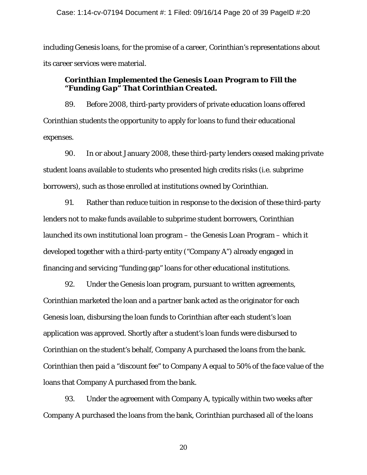including Genesis loans, for the promise of a career, Corinthian's representations about its career services were material.

## *Corinthian Implemented the Genesis Loan Program to Fill the "Funding Gap" That Corinthian Created.*

89. Before 2008, third-party providers of private education loans offered Corinthian students the opportunity to apply for loans to fund their educational expenses.

90. In or about January 2008, these third-party lenders ceased making private student loans available to students who presented high credits risks (i.e. subprime borrowers), such as those enrolled at institutions owned by Corinthian.

91. Rather than reduce tuition in response to the decision of these third-party lenders not to make funds available to subprime student borrowers, Corinthian launched its own institutional loan program – the Genesis Loan Program – which it developed together with a third-party entity ("Company A") already engaged in financing and servicing "funding gap" loans for other educational institutions.

92. Under the Genesis loan program, pursuant to written agreements, Corinthian marketed the loan and a partner bank acted as the originator for each Genesis loan, disbursing the loan funds to Corinthian after each student's loan application was approved. Shortly after a student's loan funds were disbursed to Corinthian on the student's behalf, Company A purchased the loans from the bank. Corinthian then paid a "discount fee" to Company A equal to 50% of the face value of the loans that Company A purchased from the bank.

93. Under the agreement with Company A, typically within two weeks after Company A purchased the loans from the bank, Corinthian purchased all of the loans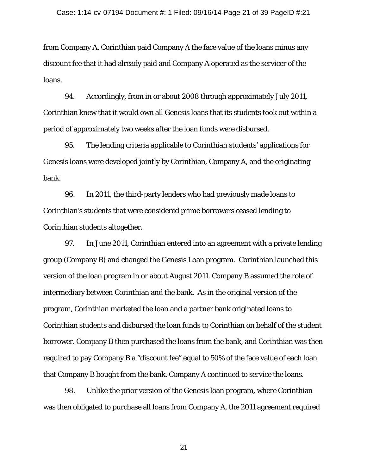from Company A. Corinthian paid Company A the face value of the loans minus any discount fee that it had already paid and Company A operated as the servicer of the loans.

94. Accordingly, from in or about 2008 through approximately July 2011, Corinthian knew that it would own all Genesis loans that its students took out within a period of approximately two weeks after the loan funds were disbursed.

95. The lending criteria applicable to Corinthian students' applications for Genesis loans were developed jointly by Corinthian, Company A, and the originating bank.

96. In 2011, the third-party lenders who had previously made loans to Corinthian's students that were considered prime borrowers ceased lending to Corinthian students altogether.

97. In June 2011, Corinthian entered into an agreement with a private lending group (Company B) and changed the Genesis Loan program. Corinthian launched this version of the loan program in or about August 2011. Company B assumed the role of intermediary between Corinthian and the bank. As in the original version of the program, Corinthian marketed the loan and a partner bank originated loans to Corinthian students and disbursed the loan funds to Corinthian on behalf of the student borrower. Company B then purchased the loans from the bank, and Corinthian was then required to pay Company B a "discount fee" equal to 50% of the face value of each loan that Company B bought from the bank. Company A continued to service the loans.

98. Unlike the prior version of the Genesis loan program, where Corinthian was then obligated to purchase all loans from Company A, the 2011 agreement required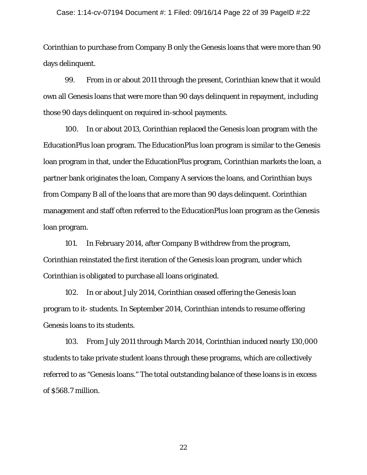#### Case: 1:14-cv-07194 Document #: 1 Filed: 09/16/14 Page 22 of 39 PageID #:22

Corinthian to purchase from Company B only the Genesis loans that were more than 90 days delinquent.

99. From in or about 2011 through the present, Corinthian knew that it would own all Genesis loans that were more than 90 days delinquent in repayment, including those 90 days delinquent on required in-school payments.

100. In or about 2013, Corinthian replaced the Genesis loan program with the EducationPlus loan program. The EducationPlus loan program is similar to the Genesis loan program in that, under the EducationPlus program, Corinthian markets the loan, a partner bank originates the loan, Company A services the loans, and Corinthian buys from Company B all of the loans that are more than 90 days delinquent. Corinthian management and staff often referred to the EducationPlus loan program as the Genesis loan program.

101. In February 2014, after Company B withdrew from the program, Corinthian reinstated the first iteration of the Genesis loan program, under which Corinthian is obligated to purchase all loans originated.

102. In or about July 2014, Corinthian ceased offering the Genesis loan program to it- students. In September 2014, Corinthian intends to resume offering Genesis loans to its students.

103. From July 2011 through March 2014, Corinthian induced nearly 130,000 students to take private student loans through these programs, which are collectively referred to as "Genesis loans." The total outstanding balance of these loans is in excess of \$568.7 million.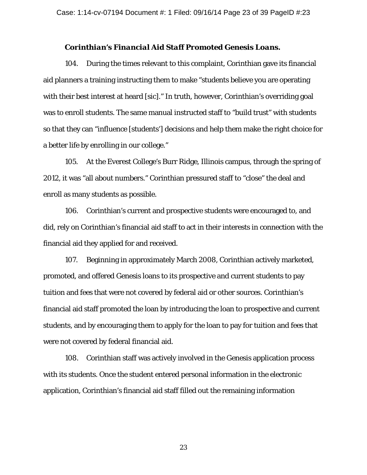### *Corinthian's Financial Aid Staff Promoted Genesis Loans.*

104. During the times relevant to this complaint, Corinthian gave its financial aid planners a training instructing them to make "students believe you are operating with their best interest at heard [sic]." In truth, however, Corinthian's overriding goal was to enroll students. The same manual instructed staff to "build trust" with students so that they can "influence [students'] decisions and help them make the right choice for a better life by enrolling in our college."

105. At the Everest College's Burr Ridge, Illinois campus, through the spring of 2012, it was "all about numbers." Corinthian pressured staff to "close" the deal and enroll as many students as possible.

106. Corinthian's current and prospective students were encouraged to, and did, rely on Corinthian's financial aid staff to act in their interests in connection with the financial aid they applied for and received.

107. Beginning in approximately March 2008, Corinthian actively marketed, promoted, and offered Genesis loans to its prospective and current students to pay tuition and fees that were not covered by federal aid or other sources. Corinthian's financial aid staff promoted the loan by introducing the loan to prospective and current students, and by encouraging them to apply for the loan to pay for tuition and fees that were not covered by federal financial aid.

108. Corinthian staff was actively involved in the Genesis application process with its students. Once the student entered personal information in the electronic application, Corinthian's financial aid staff filled out the remaining information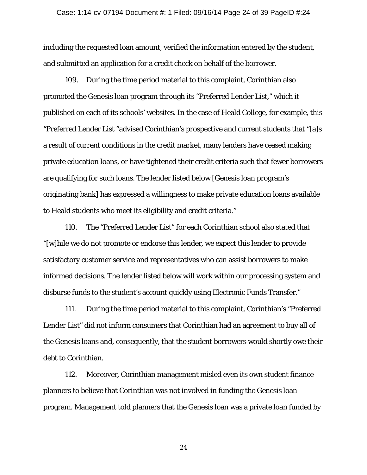including the requested loan amount, verified the information entered by the student, and submitted an application for a credit check on behalf of the borrower.

109. During the time period material to this complaint, Corinthian also promoted the Genesis loan program through its "Preferred Lender List," which it published on each of its schools' websites. In the case of Heald College, for example, this "Preferred Lender List "advised Corinthian's prospective and current students that "[a]s a result of current conditions in the credit market, many lenders have ceased making private education loans, or have tightened their credit criteria such that fewer borrowers are qualifying for such loans. The lender listed below [Genesis loan program's originating bank] has expressed a willingness to make private education loans available to Heald students who meet its eligibility and credit criteria."

110. The "Preferred Lender List" for each Corinthian school also stated that "[w]hile we do not promote or endorse this lender, we expect this lender to provide satisfactory customer service and representatives who can assist borrowers to make informed decisions. The lender listed below will work within our processing system and disburse funds to the student's account quickly using Electronic Funds Transfer."

111. During the time period material to this complaint, Corinthian's "Preferred Lender List" did not inform consumers that Corinthian had an agreement to buy all of the Genesis loans and, consequently, that the student borrowers would shortly owe their debt to Corinthian.

112. Moreover, Corinthian management misled even its own student finance planners to believe that Corinthian was not involved in funding the Genesis loan program. Management told planners that the Genesis loan was a private loan funded by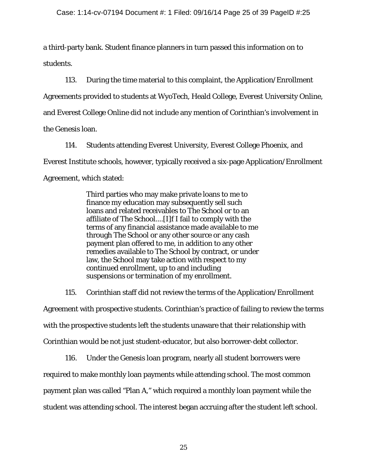a third-party bank. Student finance planners in turn passed this information on to students.

113. During the time material to this complaint, the Application/Enrollment Agreements provided to students at WyoTech, Heald College, Everest University Online, and Everest College Online did not include any mention of Corinthian's involvement in the Genesis loan.

114. Students attending Everest University, Everest College Phoenix, and Everest Institute schools, however, typically received a six-page Application/Enrollment Agreement, which stated:

> Third parties who may make private loans to me to finance my education may subsequently sell such loans and related receivables to The School or to an affiliate of The School....[I]f I fail to comply with the terms of any financial assistance made available to me through The School or any other source or any cash payment plan offered to me, in addition to any other remedies available to The School by contract, or under law, the School may take action with respect to my continued enrollment, up to and including suspensions or termination of my enrollment.

115. Corinthian staff did not review the terms of the Application/Enrollment Agreement with prospective students. Corinthian's practice of failing to review the terms with the prospective students left the students unaware that their relationship with Corinthian would be not just student-educator, but also borrower-debt collector.

116. Under the Genesis loan program, nearly all student borrowers were required to make monthly loan payments while attending school. The most common payment plan was called "Plan A," which required a monthly loan payment while the student was attending school. The interest began accruing after the student left school.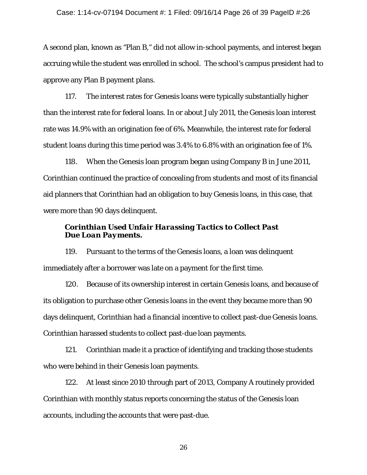A second plan, known as "Plan B," did not allow in-school payments, and interest began accruing while the student was enrolled in school. The school's campus president had to approve any Plan B payment plans.

117. The interest rates for Genesis loans were typically substantially higher than the interest rate for federal loans. In or about July 2011, the Genesis loan interest rate was 14.9% with an origination fee of 6%. Meanwhile, the interest rate for federal student loans during this time period was 3.4% to 6.8% with an origination fee of 1%.

118. When the Genesis loan program began using Company B in June 2011, Corinthian continued the practice of concealing from students and most of its financial aid planners that Corinthian had an obligation to buy Genesis loans, in this case, that were more than 90 days delinquent.

# *Corinthian Used Unfair Harassing Tactics to Collect Past Due Loan Payments.*

119. Pursuant to the terms of the Genesis loans, a loan was delinquent immediately after a borrower was late on a payment for the first time.

120. Because of its ownership interest in certain Genesis loans, and because of its obligation to purchase other Genesis loans in the event they became more than 90 days delinquent, Corinthian had a financial incentive to collect past-due Genesis loans. Corinthian harassed students to collect past-due loan payments.

121. Corinthian made it a practice of identifying and tracking those students who were behind in their Genesis loan payments.

122. At least since 2010 through part of 2013, Company A routinely provided Corinthian with monthly status reports concerning the status of the Genesis loan accounts, including the accounts that were past-due.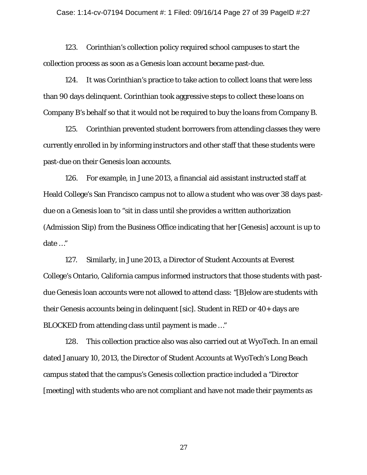123. Corinthian's collection policy required school campuses to start the collection process as soon as a Genesis loan account became past-due.

124. It was Corinthian's practice to take action to collect loans that were less than 90 days delinquent. Corinthian took aggressive steps to collect these loans on Company B's behalf so that it would not be required to buy the loans from Company B.

125. Corinthian prevented student borrowers from attending classes they were currently enrolled in by informing instructors and other staff that these students were past-due on their Genesis loan accounts.

126. For example, in June 2013, a financial aid assistant instructed staff at Heald College's San Francisco campus not to allow a student who was over 38 days pastdue on a Genesis loan to "sit in class until she provides a written authorization (Admission Slip) from the Business Office indicating that her [Genesis] account is up to date …"

127. Similarly, in June 2013, a Director of Student Accounts at Everest College's Ontario, California campus informed instructors that those students with pastdue Genesis loan accounts were not allowed to attend class: "[B]elow are students with their Genesis accounts being in delinquent [sic]. Student in RED or 40+ days are BLOCKED from attending class until payment is made …"

128. This collection practice also was also carried out at WyoTech. In an email dated January 10, 2013, the Director of Student Accounts at WyoTech's Long Beach campus stated that the campus's Genesis collection practice included a "Director [meeting] with students who are not compliant and have not made their payments as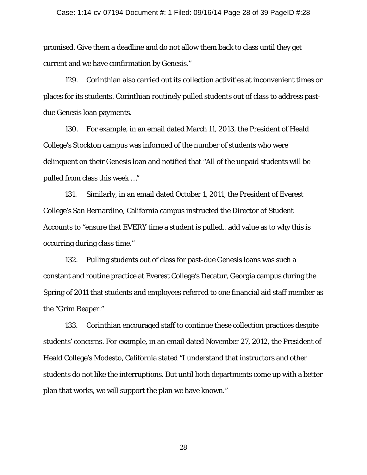promised. Give them a deadline and do not allow them back to class until they get current and we have confirmation by Genesis."

129. Corinthian also carried out its collection activities at inconvenient times or places for its students. Corinthian routinely pulled students out of class to address pastdue Genesis loan payments.

130. For example, in an email dated March 11, 2013, the President of Heald College's Stockton campus was informed of the number of students who were delinquent on their Genesis loan and notified that "All of the unpaid students will be pulled from class this week …"

131. Similarly, in an email dated October 1, 2011, the President of Everest College's San Bernardino, California campus instructed the Director of Student Accounts to "ensure that EVERY time a student is pulled…add value as to why this is occurring during class time."

132. Pulling students out of class for past-due Genesis loans was such a constant and routine practice at Everest College's Decatur, Georgia campus during the Spring of 2011 that students and employees referred to one financial aid staff member as the "Grim Reaper."

133. Corinthian encouraged staff to continue these collection practices despite students' concerns. For example, in an email dated November 27, 2012, the President of Heald College's Modesto, California stated "I understand that instructors and other students do not like the interruptions. But until both departments come up with a better plan that works, we will support the plan we have known."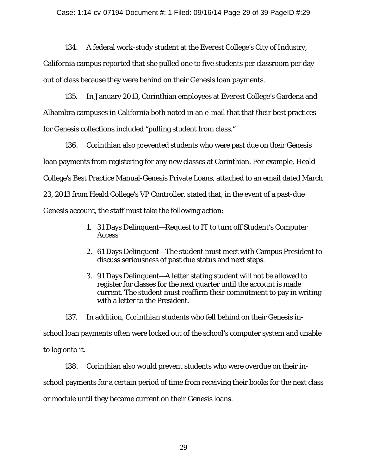134. A federal work-study student at the Everest College's City of Industry,

California campus reported that she pulled one to five students per classroom per day out of class because they were behind on their Genesis loan payments.

135. In January 2013, Corinthian employees at Everest College's Gardena and Alhambra campuses in California both noted in an e-mail that that their best practices for Genesis collections included "pulling student from class."

136. Corinthian also prevented students who were past due on their Genesis loan payments from registering for any new classes at Corinthian. For example, Heald College's Best Practice Manual-Genesis Private Loans, attached to an email dated March 23, 2013 from Heald College's VP Controller, stated that, in the event of a past-due Genesis account, the staff must take the following action:

- 1. 31 Days Delinquent—Request to IT to turn off Student's Computer **Access**
- 2. 61 Days Delinquent—The student must meet with Campus President to discuss seriousness of past due status and next steps.
- 3. 91 Days Delinquent—A letter stating student will not be allowed to register for classes for the next quarter until the account is made current. The student must reaffirm their commitment to pay in writing with a letter to the President.

137. In addition, Corinthian students who fell behind on their Genesis inschool loan payments often were locked out of the school's computer system and unable to log onto it.

138. Corinthian also would prevent students who were overdue on their inschool payments for a certain period of time from receiving their books for the next class or module until they became current on their Genesis loans.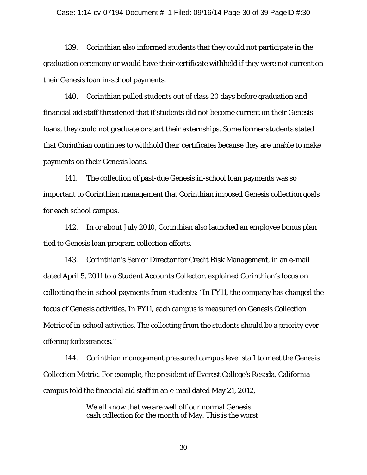#### Case: 1:14-cv-07194 Document #: 1 Filed: 09/16/14 Page 30 of 39 PageID #:30

139. Corinthian also informed students that they could not participate in the graduation ceremony or would have their certificate withheld if they were not current on their Genesis loan in-school payments.

140. Corinthian pulled students out of class 20 days before graduation and financial aid staff threatened that if students did not become current on their Genesis loans, they could not graduate or start their externships. Some former students stated that Corinthian continues to withhold their certificates because they are unable to make payments on their Genesis loans.

141. The collection of past-due Genesis in-school loan payments was so important to Corinthian management that Corinthian imposed Genesis collection goals for each school campus.

142. In or about July 2010, Corinthian also launched an employee bonus plan tied to Genesis loan program collection efforts.

143. Corinthian's Senior Director for Credit Risk Management, in an e-mail dated April 5, 2011 to a Student Accounts Collector, explained Corinthian's focus on collecting the in-school payments from students: "In FY11, the company has changed the focus of Genesis activities. In FY11, each campus is measured on Genesis Collection Metric of in-school activities. The collecting from the students should be a priority over offering forbearances."

144. Corinthian management pressured campus level staff to meet the Genesis Collection Metric. For example, the president of Everest College's Reseda, California campus told the financial aid staff in an e-mail dated May 21, 2012,

> We all know that we are well off our normal Genesis cash collection for the month of May. This is the worst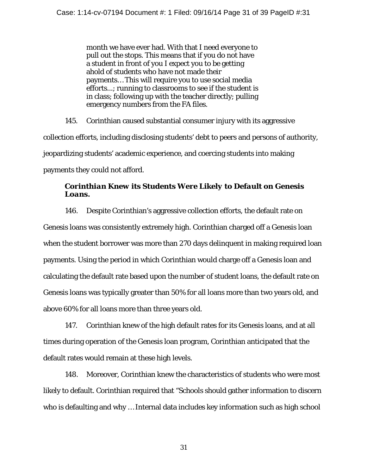month we have ever had. With that I need everyone to pull out the stops. This means that if you do not have a student in front of you I expect you to be getting ahold of students who have not made their payments… This will require you to use social media efforts...; running to classrooms to see if the student is in class; following up with the teacher directly; pulling emergency numbers from the FA files.

145. Corinthian caused substantial consumer injury with its aggressive collection efforts, including disclosing students' debt to peers and persons of authority, jeopardizing students' academic experience, and coercing students into making payments they could not afford.

# *Corinthian Knew its Students Were Likely to Default on Genesis Loans.*

146. Despite Corinthian's aggressive collection efforts, the default rate on Genesis loans was consistently extremely high. Corinthian charged off a Genesis loan when the student borrower was more than 270 days delinquent in making required loan payments. Using the period in which Corinthian would charge off a Genesis loan and calculating the default rate based upon the number of student loans, the default rate on Genesis loans was typically greater than 50% for all loans more than two years old, and above 60% for all loans more than three years old.

147. Corinthian knew of the high default rates for its Genesis loans, and at all times during operation of the Genesis loan program, Corinthian anticipated that the default rates would remain at these high levels.

148. Moreover, Corinthian knew the characteristics of students who were most likely to default. Corinthian required that "Schools should gather information to discern who is defaulting and why … Internal data includes key information such as high school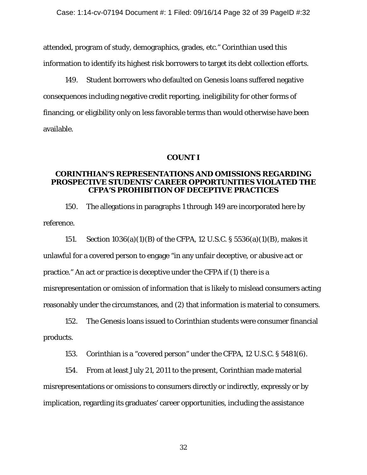attended, program of study, demographics, grades, etc." Corinthian used this information to identify its highest risk borrowers to target its debt collection efforts.

149. Student borrowers who defaulted on Genesis loans suffered negative consequences including negative credit reporting, ineligibility for other forms of financing, or eligibility only on less favorable terms than would otherwise have been available.

### **COUNT I**

## **CORINTHIAN'S REPRESENTATIONS AND OMISSIONS REGARDING PROSPECTIVE STUDENTS' CAREER OPPORTUNITIES VIOLATED THE CFPA'S PROHIBITION OF DECEPTIVE PRACTICES**

150. The allegations in paragraphs 1 through 149 are incorporated here by reference.

151. Section 1036(a)(1)(B) of the CFPA, 12 U.S.C. § 5536(a)(1)(B), makes it unlawful for a covered person to engage "in any unfair deceptive, or abusive act or practice." An act or practice is deceptive under the CFPA if (1) there is a misrepresentation or omission of information that is likely to mislead consumers acting reasonably under the circumstances, and (2) that information is material to consumers.

152. The Genesis loans issued to Corinthian students were consumer financial products.

153. Corinthian is a "covered person" under the CFPA, 12 U.S.C. § 5481(6).

154. From at least July 21, 2011 to the present, Corinthian made material misrepresentations or omissions to consumers directly or indirectly, expressly or by implication, regarding its graduates' career opportunities, including the assistance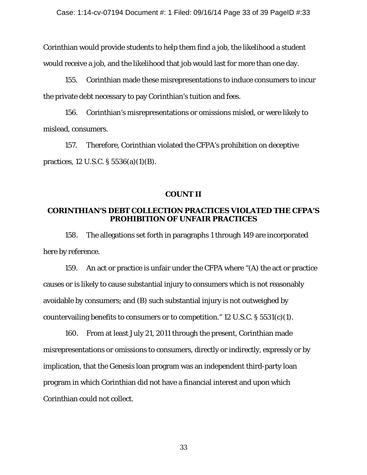Corinthian would provide students to help them find a job, the likelihood a student would receive a job, and the likelihood that job would last for more than one day.

155. Corinthian made these misrepresentations to induce consumers to incur the private debt necessary to pay Corinthian's tuition and fees.

156. Corinthian's misrepresentations or omissions misled, or were likely to mislead, consumers.

157. Therefore, Corinthian violated the CFPA's prohibition on deceptive practices, 12 U.S.C. § 5536(a)(1)(B).

### **COUNT II**

# **CORINTHIAN'S DEBT COLLECTION PRACTICES VIOLATED THE CFPA'S PROHIBITION OF UNFAIR PRACTICES**

158. The allegations set forth in paragraphs 1 through 149 are incorporated here by reference.

159. An act or practice is unfair under the CFPA where "(A) the act or practice causes or is likely to cause substantial injury to consumers which is not reasonably avoidable by consumers; and (B) such substantial injury is not outweighed by countervailing benefits to consumers or to competition." 12 U.S.C. § 5531(c)(1).

160. From at least July 21, 2011 through the present, Corinthian made misrepresentations or omissions to consumers, directly or indirectly, expressly or by implication, that the Genesis loan program was an independent third-party loan program in which Corinthian did not have a financial interest and upon which Corinthian could not collect.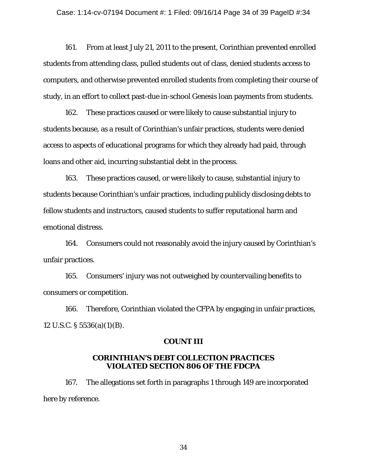161. From at least July 21, 2011 to the present, Corinthian prevented enrolled students from attending class, pulled students out of class, denied students access to computers, and otherwise prevented enrolled students from completing their course of study, in an effort to collect past-due in-school Genesis loan payments from students.

162. These practices caused or were likely to cause substantial injury to students because, as a result of Corinthian's unfair practices, students were denied access to aspects of educational programs for which they already had paid, through loans and other aid, incurring substantial debt in the process.

163. These practices caused, or were likely to cause, substantial injury to students because Corinthian's unfair practices, including publicly disclosing debts to fellow students and instructors, caused students to suffer reputational harm and emotional distress.

164. Consumers could not reasonably avoid the injury caused by Corinthian's unfair practices.

165. Consumers' injury was not outweighed by countervailing benefits to consumers or competition.

166. Therefore, Corinthian violated the CFPA by engaging in unfair practices, 12 U.S.C. § 5536(a)(1)(B).

### **COUNT III**

## **CORINTHIAN'S DEBT COLLECTION PRACTICES VIOLATED SECTION 806 OF THE FDCPA**

167. The allegations set forth in paragraphs 1 through 149 are incorporated here by reference.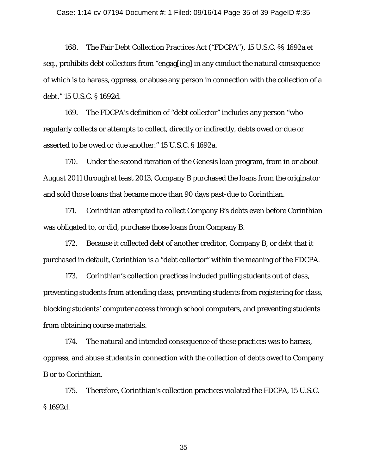168. The Fair Debt Collection Practices Act ("FDCPA"), 15 U.S.C. §§ 1692a *et seq.*, prohibits debt collectors from "engag[ing] in any conduct the natural consequence of which is to harass, oppress, or abuse any person in connection with the collection of a debt." 15 U.S.C. § 1692d.

169. The FDCPA's definition of "debt collector" includes any person "who regularly collects or attempts to collect, directly or indirectly, debts owed or due or asserted to be owed or due another." 15 U.S.C. § 1692a.

170. Under the second iteration of the Genesis loan program, from in or about August 2011 through at least 2013, Company B purchased the loans from the originator and sold those loans that became more than 90 days past-due to Corinthian.

171. Corinthian attempted to collect Company B's debts even before Corinthian was obligated to, or did, purchase those loans from Company B.

172. Because it collected debt of another creditor, Company B, or debt that it purchased in default, Corinthian is a "debt collector" within the meaning of the FDCPA.

173. Corinthian's collection practices included pulling students out of class, preventing students from attending class, preventing students from registering for class, blocking students' computer access through school computers, and preventing students from obtaining course materials.

174. The natural and intended consequence of these practices was to harass, oppress, and abuse students in connection with the collection of debts owed to Company B or to Corinthian.

175. Therefore, Corinthian's collection practices violated the FDCPA, 15 U.S.C. § 1692d.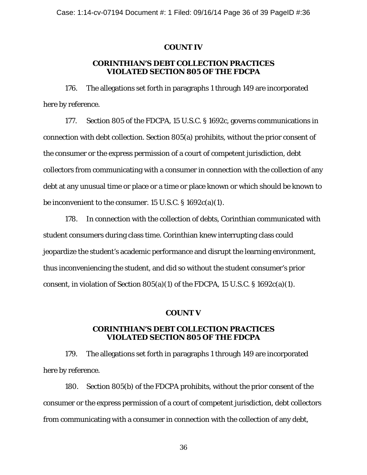### **COUNT IV**

## **CORINTHIAN'S DEBT COLLECTION PRACTICES VIOLATED SECTION 805 OF THE FDCPA**

176. The allegations set forth in paragraphs 1 through 149 are incorporated here by reference.

177. Section 805 of the FDCPA, 15 U.S.C. § 1692c, governs communications in connection with debt collection. Section 805(a) prohibits, without the prior consent of the consumer or the express permission of a court of competent jurisdiction, debt collectors from communicating with a consumer in connection with the collection of any debt at any unusual time or place or a time or place known or which should be known to be inconvenient to the consumer. 15 U.S.C. § 1692c(a)(1).

178. In connection with the collection of debts, Corinthian communicated with student consumers during class time. Corinthian knew interrupting class could jeopardize the student's academic performance and disrupt the learning environment, thus inconveniencing the student, and did so without the student consumer's prior consent, in violation of Section  $805(a)(1)$  of the FDCPA, 15 U.S.C. § 1692c(a)(1).

### **COUNT V**

### **CORINTHIAN'S DEBT COLLECTION PRACTICES VIOLATED SECTION 805 OF THE FDCPA**

179. The allegations set forth in paragraphs 1 through 149 are incorporated here by reference.

180. Section 805(b) of the FDCPA prohibits, without the prior consent of the consumer or the express permission of a court of competent jurisdiction, debt collectors from communicating with a consumer in connection with the collection of any debt,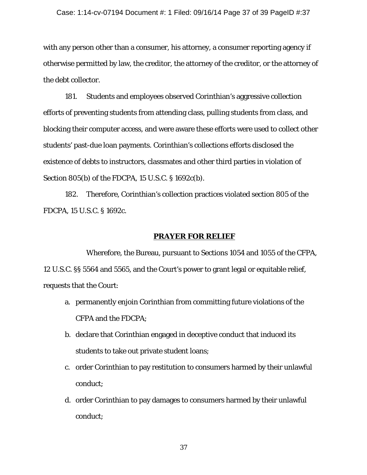with any person other than a consumer, his attorney, a consumer reporting agency if otherwise permitted by law, the creditor, the attorney of the creditor, or the attorney of the debt collector.

181. Students and employees observed Corinthian's aggressive collection efforts of preventing students from attending class, pulling students from class, and blocking their computer access, and were aware these efforts were used to collect other students' past-due loan payments. Corinthian's collections efforts disclosed the existence of debts to instructors, classmates and other third parties in violation of Section 805(b) of the FDCPA, 15 U.S.C. § 1692c(b).

182. Therefore, Corinthian's collection practices violated section 805 of the FDCPA, 15 U.S.C. § 1692c.

#### **PRAYER FOR RELIEF**

Wherefore, the Bureau, pursuant to Sections 1054 and 1055 of the CFPA, 12 U.S.C. §§ 5564 and 5565, and the Court's power to grant legal or equitable relief, requests that the Court:

- a. permanently enjoin Corinthian from committing future violations of the CFPA and the FDCPA;
- b. declare that Corinthian engaged in deceptive conduct that induced its students to take out private student loans;
- c. order Corinthian to pay restitution to consumers harmed by their unlawful conduct;
- d. order Corinthian to pay damages to consumers harmed by their unlawful conduct;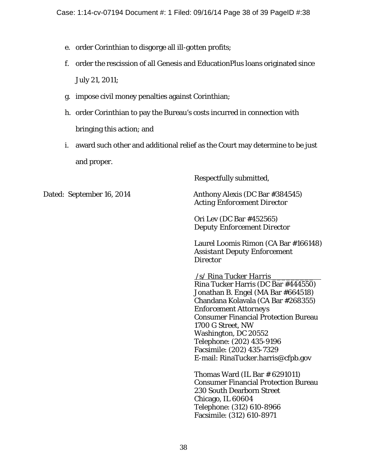- e. order Corinthian to disgorge all ill-gotten profits;
- f. order the rescission of all Genesis and EducationPlus loans originated since July 21, 2011;
- g. impose civil money penalties against Corinthian;
- h. order Corinthian to pay the Bureau's costs incurred in connection with bringing this action; and
- i. award such other and additional relief as the Court may determine to be just and proper.

Respectfully submitted,

Dated: September 16, 2014 Anthony Alexis (DC Bar #384545)

*Acting Enforcement Director*

Ori Lev (DC Bar #452565) *Deputy Enforcement Director*

Laurel Loomis Rimon (CA Bar #166148) *Assistant Deputy Enforcement Director*

/s/ *Rina Tucker Harris* \_\_\_\_\_\_\_\_\_

Rina Tucker Harris (DC Bar #444550) Jonathan B. Engel (MA Bar #664518) Chandana Kolavala (CA Bar #268355) *Enforcement Attorneys* Consumer Financial Protection Bureau 1700 G Street, NW Washington, DC 20552 Telephone: (202) 435-9196 Facsimile: (202) 435-7329 E-mail: RinaTucker.harris@cfpb.gov

Thomas Ward (IL Bar # 6291011) Consumer Financial Protection Bureau 230 South Dearborn Street Chicago, IL 60604 Telephone: (312) 610-8966 Facsimile: (312) 610-8971